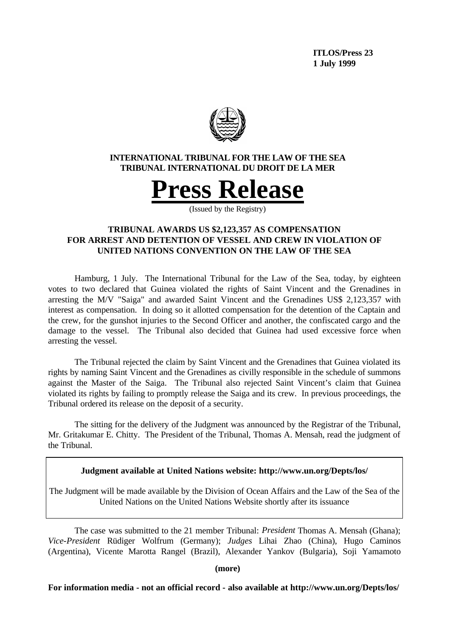**ITLOS/Press 23 1 July 1999**



## **INTERNATIONAL TRIBUNAL FOR THE LAW OF THE SEA TRIBUNAL INTERNATIONAL DU DROIT DE LA MER**



(Issued by the Registry)

# **TRIBUNAL AWARDS US \$2,123,357 AS COMPENSATION FOR ARREST AND DETENTION OF VESSEL AND CREW IN VIOLATION OF UNITED NATIONS CONVENTION ON THE LAW OF THE SEA**

Hamburg, 1 July. The International Tribunal for the Law of the Sea, today, by eighteen votes to two declared that Guinea violated the rights of Saint Vincent and the Grenadines in arresting the M/V "Saiga" and awarded Saint Vincent and the Grenadines US\$ 2,123,357 with interest as compensation. In doing so it allotted compensation for the detention of the Captain and the crew, for the gunshot injuries to the Second Officer and another, the confiscated cargo and the damage to the vessel. The Tribunal also decided that Guinea had used excessive force when arresting the vessel.

The Tribunal rejected the claim by Saint Vincent and the Grenadines that Guinea violated its rights by naming Saint Vincent and the Grenadines as civilly responsible in the schedule of summons against the Master of the Saiga. The Tribunal also rejected Saint Vincent's claim that Guinea violated its rights by failing to promptly release the Saiga and its crew. In previous proceedings, the Tribunal ordered its release on the deposit of a security.

The sitting for the delivery of the Judgment was announced by the Registrar of the Tribunal, Mr. Gritakumar E. Chitty. The President of the Tribunal, Thomas A. Mensah, read the judgment of the Tribunal.

**Judgment available at United Nations website: http://www.un.org/Depts/los/**

The Judgment will be made available by the Division of Ocean Affairs and the Law of the Sea of the United Nations on the United Nations Website shortly after its issuance

The case was submitted to the 21 member Tribunal: *President* Thomas A. Mensah (Ghana); *Vice-President* Rüdiger Wolfrum (Germany); *Judges* Lihai Zhao (China), Hugo Caminos (Argentina), Vicente Marotta Rangel (Brazil), Alexander Yankov (Bulgaria), Soji Yamamoto

**(more)**

**For information media - not an official record - also available at http://www.un.org/Depts/los/**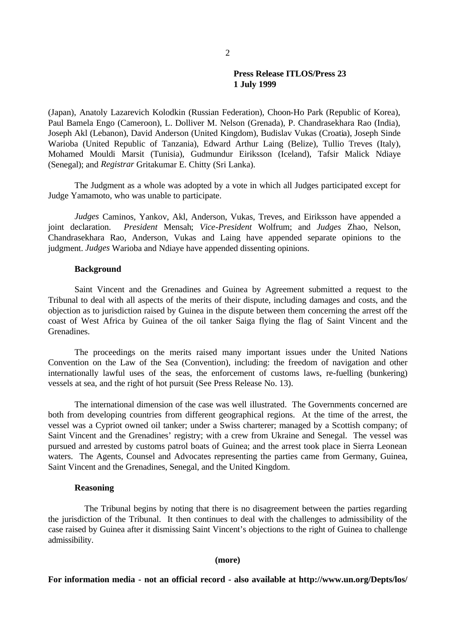### **Press Release ITLOS/Press 23 1 July 1999**

(Japan), Anatoly Lazarevich Kolodkin (Russian Federation), Choon-Ho Park (Republic of Korea), Paul Bamela Engo (Cameroon), L. Dolliver M. Nelson (Grenada), P. Chandrasekhara Rao (India), Joseph Akl (Lebanon), David Anderson (United Kingdom), Budislav Vukas (Croatia), Joseph Sinde Warioba (United Republic of Tanzania), Edward Arthur Laing (Belize), Tullio Treves (Italy), Mohamed Mouldi Marsit (Tunisia), Gudmundur Eiriksson (Iceland), Tafsir Malick Ndiaye (Senegal); and *Registrar* Gritakumar E. Chitty (Sri Lanka).

The Judgment as a whole was adopted by a vote in which all Judges participated except for Judge Yamamoto, who was unable to participate.

*Judges* Caminos, Yankov, Akl, Anderson, Vukas, Treves, and Eiriksson have appended a joint declaration. *President* Mensah; *Vice-President* Wolfrum; and *Judges* Zhao, Nelson, Chandrasekhara Rao, Anderson, Vukas and Laing have appended separate opinions to the judgment. *Judges* Warioba and Ndiaye have appended dissenting opinions.

### **Background**

Saint Vincent and the Grenadines and Guinea by Agreement submitted a request to the Tribunal to deal with all aspects of the merits of their dispute, including damages and costs, and the objection as to jurisdiction raised by Guinea in the dispute between them concerning the arrest off the coast of West Africa by Guinea of the oil tanker Saiga flying the flag of Saint Vincent and the Grenadines.

The proceedings on the merits raised many important issues under the United Nations Convention on the Law of the Sea (Convention), including: the freedom of navigation and other internationally lawful uses of the seas, the enforcement of customs laws, re-fuelling (bunkering) vessels at sea, and the right of hot pursuit (See Press Release No. 13).

The international dimension of the case was well illustrated. The Governments concerned are both from developing countries from different geographical regions. At the time of the arrest, the vessel was a Cypriot owned oil tanker; under a Swiss charterer; managed by a Scottish company; of Saint Vincent and the Grenadines' registry; with a crew from Ukraine and Senegal. The vessel was pursued and arrested by customs patrol boats of Guinea; and the arrest took place in Sierra Leonean waters. The Agents, Counsel and Advocates representing the parties came from Germany, Guinea, Saint Vincent and the Grenadines, Senegal, and the United Kingdom.

#### **Reasoning**

The Tribunal begins by noting that there is no disagreement between the parties regarding the jurisdiction of the Tribunal. It then continues to deal with the challenges to admissibility of the case raised by Guinea after it dismissing Saint Vincent's objections to the right of Guinea to challenge admissibility.

#### **(more)**

**For information media - not an official record - also available at http://www.un.org/Depts/los/**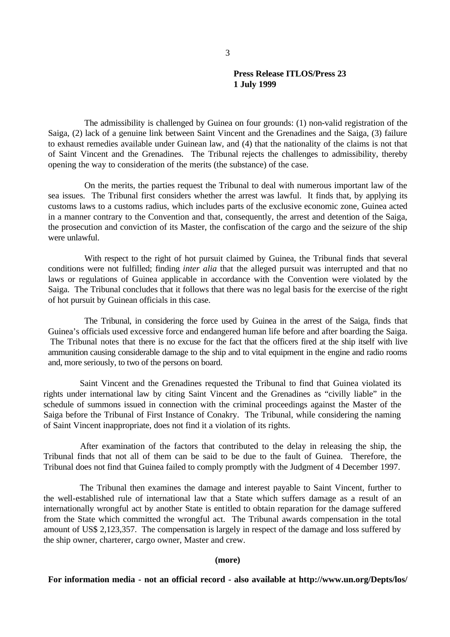## **Press Release ITLOS/Press 23 1 July 1999**

The admissibility is challenged by Guinea on four grounds: (1) non-valid registration of the Saiga, (2) lack of a genuine link between Saint Vincent and the Grenadines and the Saiga, (3) failure to exhaust remedies available under Guinean law, and (4) that the nationality of the claims is not that of Saint Vincent and the Grenadines. The Tribunal rejects the challenges to admissibility, thereby opening the way to consideration of the merits (the substance) of the case.

On the merits, the parties request the Tribunal to deal with numerous important law of the sea issues. The Tribunal first considers whether the arrest was lawful. It finds that, by applying its customs laws to a customs radius, which includes parts of the exclusive economic zone, Guinea acted in a manner contrary to the Convention and that, consequently, the arrest and detention of the Saiga, the prosecution and conviction of its Master, the confiscation of the cargo and the seizure of the ship were unlawful.

With respect to the right of hot pursuit claimed by Guinea, the Tribunal finds that several conditions were not fulfilled; finding *inter alia* that the alleged pursuit was interrupted and that no laws or regulations of Guinea applicable in accordance with the Convention were violated by the Saiga. The Tribunal concludes that it follows that there was no legal basis for the exercise of the right of hot pursuit by Guinean officials in this case.

The Tribunal, in considering the force used by Guinea in the arrest of the Saiga, finds that Guinea's officials used excessive force and endangered human life before and after boarding the Saiga. The Tribunal notes that there is no excuse for the fact that the officers fired at the ship itself with live ammunition causing considerable damage to the ship and to vital equipment in the engine and radio rooms and, more seriously, to two of the persons on board.

Saint Vincent and the Grenadines requested the Tribunal to find that Guinea violated its rights under international law by citing Saint Vincent and the Grenadines as "civilly liable" in the schedule of summons issued in connection with the criminal proceedings against the Master of the Saiga before the Tribunal of First Instance of Conakry. The Tribunal, while considering the naming of Saint Vincent inappropriate, does not find it a violation of its rights.

After examination of the factors that contributed to the delay in releasing the ship, the Tribunal finds that not all of them can be said to be due to the fault of Guinea. Therefore, the Tribunal does not find that Guinea failed to comply promptly with the Judgment of 4 December 1997.

The Tribunal then examines the damage and interest payable to Saint Vincent, further to the well-established rule of international law that a State which suffers damage as a result of an internationally wrongful act by another State is entitled to obtain reparation for the damage suffered from the State which committed the wrongful act. The Tribunal awards compensation in the total amount of US\$ 2,123,357. The compensation is largely in respect of the damage and loss suffered by the ship owner, charterer, cargo owner, Master and crew.

#### **(more)**

**For information media - not an official record - also available at http://www.un.org/Depts/los/**